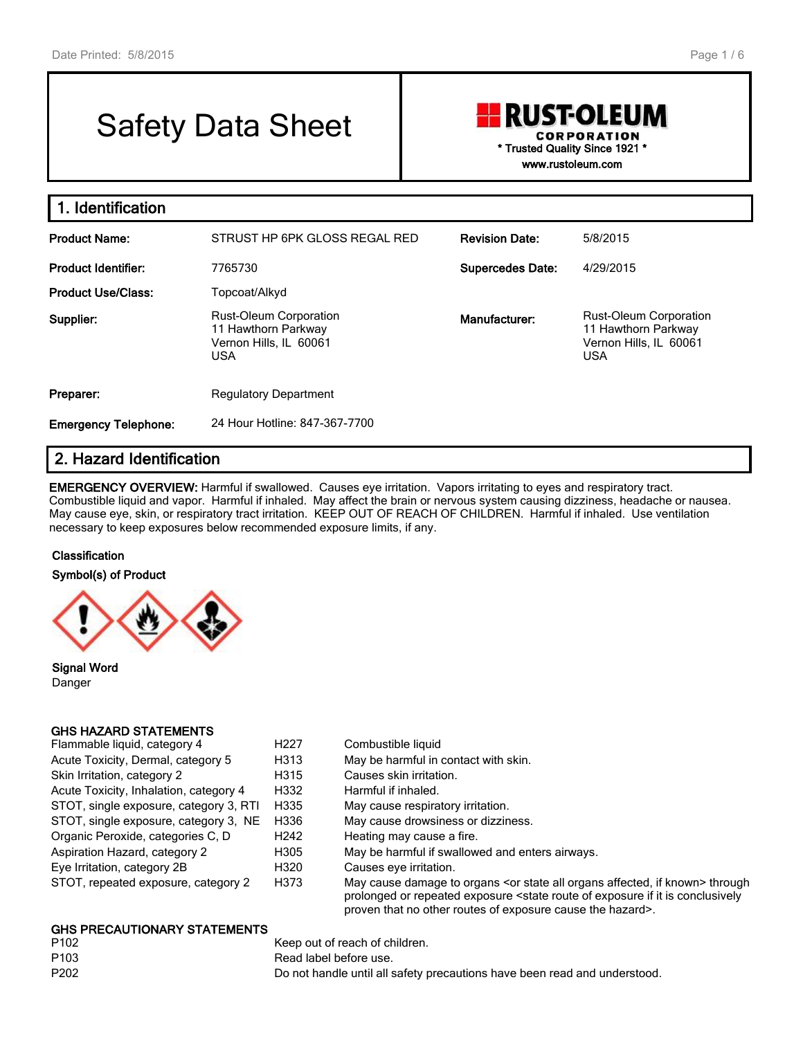# Safety Data Sheet

## **RUST-OLEUM CORPORATION** \* Trusted Quality Since 1921 \* www.rustoleum.com

| 1. Identification           |                                                                                              |                         |                                                                                              |
|-----------------------------|----------------------------------------------------------------------------------------------|-------------------------|----------------------------------------------------------------------------------------------|
| <b>Product Name:</b>        | STRUST HP 6PK GLOSS REGAL RED                                                                | <b>Revision Date:</b>   | 5/8/2015                                                                                     |
| <b>Product Identifier:</b>  | 7765730                                                                                      | <b>Supercedes Date:</b> | 4/29/2015                                                                                    |
| <b>Product Use/Class:</b>   | Topcoat/Alkyd                                                                                |                         |                                                                                              |
| Supplier:                   | <b>Rust-Oleum Corporation</b><br>11 Hawthorn Parkway<br>Vernon Hills, IL 60061<br><b>USA</b> | Manufacturer:           | <b>Rust-Oleum Corporation</b><br>11 Hawthorn Parkway<br>Vernon Hills, IL 60061<br><b>USA</b> |
| Preparer:                   | <b>Regulatory Department</b>                                                                 |                         |                                                                                              |
| <b>Emergency Telephone:</b> | 24 Hour Hotline: 847-367-7700                                                                |                         |                                                                                              |

## 2. Hazard Identification

EMERGENCY OVERVIEW: Harmful if swallowed. Causes eye irritation. Vapors irritating to eyes and respiratory tract. Combustible liquid and vapor. Harmful if inhaled. May affect the brain or nervous system causing dizziness, headache or nausea. May cause eye, skin, or respiratory tract irritation. KEEP OUT OF REACH OF CHILDREN. Harmful if inhaled. Use ventilation necessary to keep exposures below recommended exposure limits, if any.

#### **Classification**

Symbol(s) of Product



Signal Word Danger

#### GHS HAZARD STATEMENTS

| Flammable liquid, category 4           | H <sub>22</sub> 7 | Combustible liquid    |
|----------------------------------------|-------------------|-----------------------|
| Acute Toxicity, Dermal, category 5     | H313              | May be harmful in     |
| Skin Irritation, category 2            | H315              | Causes skin irritati  |
| Acute Toxicity, Inhalation, category 4 | H332              | Harmful if inhaled.   |
| STOT, single exposure, category 3, RTI | H335              | May cause respira     |
| STOT, single exposure, category 3, NE  | H336              | May cause drowsi      |
| Organic Peroxide, categories C, D      | H <sub>242</sub>  | Heating may cause     |
| Aspiration Hazard, category 2          | H305              | May be harmful if s   |
| Eye Irritation, category 2B            | H320              | Causes eye irritation |
| STOT, repeated exposure, category 2    | H373              | May cause damag       |

- Acute Toxicity, Dermal, Dermal, 213 May be harmful in contact with skin.
	- 315 Causes skin irritation.
	- Acute Towicity, India<br>
	Harmful if inhaled.
	- 335 May cause respiratory irritation.
	- 336 May cause drowsiness or dizziness.
	- 242 Heating may cause a fire.
	- Referred May be harmful if swallowed and enters airways.
- B20 Causes eye irritation.
- ST<sub>3</sub> May cause damage to organs <or state all organs affected, if known> through prolonged or repeated exposure <state route of exposure if it is conclusively proven that no other routes of exposure cause the hazard>.

## **GHS PRECAUTIONARY STATEMENTS**<br>P102

Keep out of reach of children. P103 Read label before use. P202 Do not handle until all safety precautions have been read and understood.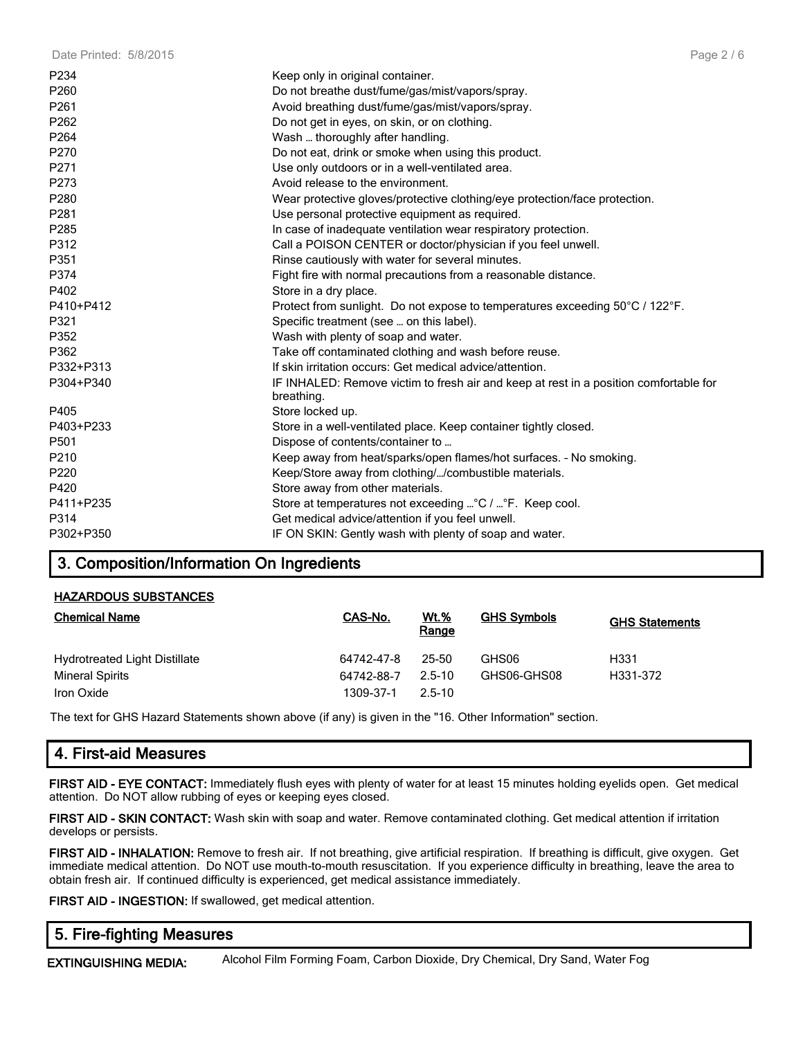| P234             | Keep only in original container.                                                                    |
|------------------|-----------------------------------------------------------------------------------------------------|
| P260             | Do not breathe dust/fume/gas/mist/vapors/spray.                                                     |
| P261             | Avoid breathing dust/fume/gas/mist/vapors/spray.                                                    |
| P262             | Do not get in eyes, on skin, or on clothing.                                                        |
| P264             | Wash  thoroughly after handling.                                                                    |
| P270             | Do not eat, drink or smoke when using this product.                                                 |
| P271             | Use only outdoors or in a well-ventilated area.                                                     |
| P273             | Avoid release to the environment.                                                                   |
| P280             | Wear protective gloves/protective clothing/eye protection/face protection.                          |
| P281             | Use personal protective equipment as required.                                                      |
| P285             | In case of inadequate ventilation wear respiratory protection.                                      |
| P312             | Call a POISON CENTER or doctor/physician if you feel unwell.                                        |
| P351             | Rinse cautiously with water for several minutes.                                                    |
| P374             | Fight fire with normal precautions from a reasonable distance.                                      |
| P402             | Store in a dry place.                                                                               |
| P410+P412        | Protect from sunlight. Do not expose to temperatures exceeding 50°C / 122°F.                        |
| P321             | Specific treatment (see  on this label).                                                            |
| P352             | Wash with plenty of soap and water.                                                                 |
| P362             | Take off contaminated clothing and wash before reuse.                                               |
| P332+P313        | If skin irritation occurs: Get medical advice/attention.                                            |
| P304+P340        | IF INHALED: Remove victim to fresh air and keep at rest in a position comfortable for<br>breathing. |
| P405             | Store locked up.                                                                                    |
| P403+P233        | Store in a well-ventilated place. Keep container tightly closed.                                    |
| P <sub>501</sub> | Dispose of contents/container to                                                                    |
| P210             | Keep away from heat/sparks/open flames/hot surfaces. - No smoking.                                  |
| P220             | Keep/Store away from clothing//combustible materials.                                               |
| P420             | Store away from other materials.                                                                    |
| P411+P235        | Store at temperatures not exceeding  °C /  °F. Keep cool.                                           |
| P314             | Get medical advice/attention if you feel unwell.                                                    |
| P302+P350        | IF ON SKIN: Gently wash with plenty of soap and water.                                              |
|                  |                                                                                                     |

## 3. Composition/Information On Ingredients

#### HAZARDOUS SUBSTANCES

| <b>Chemical Name</b>          | CAS-No.    | <u>Wt.%</u><br>Range | <b>GHS Symbols</b> | <b>GHS Statements</b> |
|-------------------------------|------------|----------------------|--------------------|-----------------------|
| Hydrotreated Light Distillate | 64742-47-8 | 25-50                | GHS06              | H331                  |
| <b>Mineral Spirits</b>        | 64742-88-7 | 2.5-10               | GHS06-GHS08        | H331-372              |
| Iron Oxide                    | 1309-37-1  | $2.5 - 10$           |                    |                       |

The text for GHS Hazard Statements shown above (if any) is given in the "16. Other Information" section.

## 4. First-aid Measures

FIRST AID - EYE CONTACT: Immediately flush eyes with plenty of water for at least 15 minutes holding eyelids open. Get medical attention. Do NOT allow rubbing of eyes or keeping eyes closed.

FIRST AID - SKIN CONTACT: Wash skin with soap and water. Remove contaminated clothing. Get medical attention if irritation develops or persists.

FIRST AID - INHALATION: Remove to fresh air. If not breathing, give artificial respiration. If breathing is difficult, give oxygen. Get immediate medical attention. Do NOT use mouth-to-mouth resuscitation. If you experience difficulty in breathing, leave the area to obtain fresh air. If continued difficulty is experienced, get medical assistance immediately.

FIRST AID - INGESTION: If swallowed, get medical attention.

## 5. Fire-fighting Measures

EXTINGUISHING MEDIA: Alcohol Film Forming Foam, Carbon Dioxide, Dry Chemical, Dry Sand, Water Fog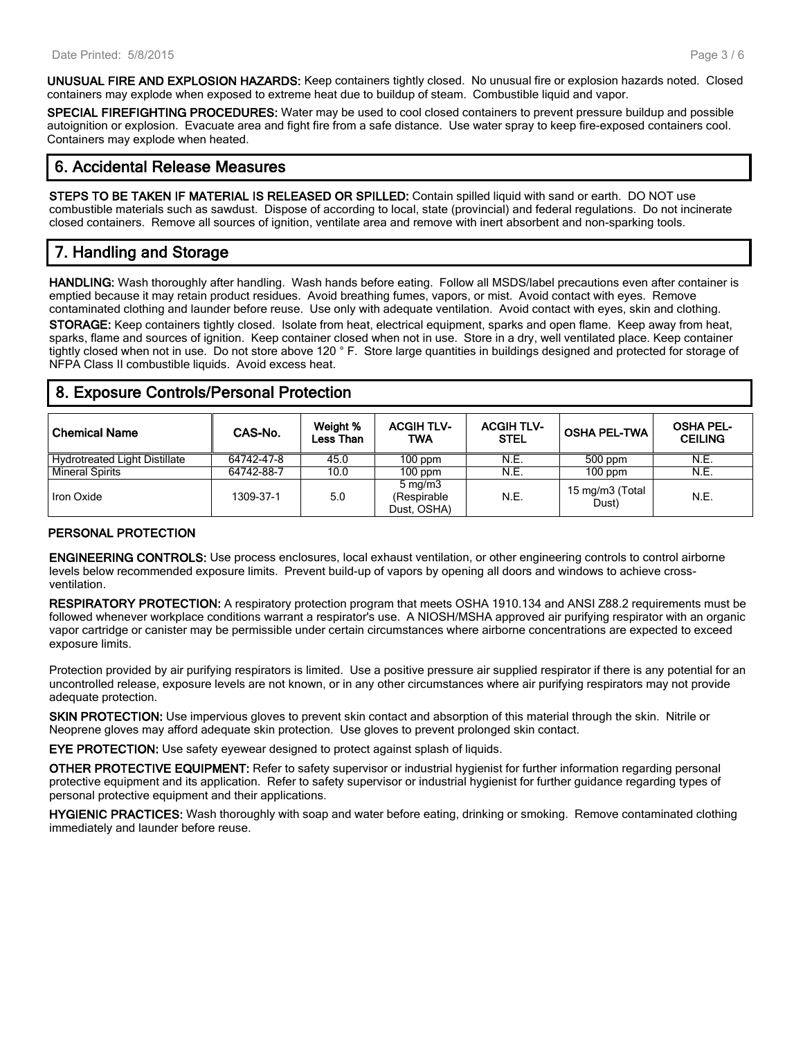UNUSUAL FIRE AND EXPLOSION HAZARDS: Keep containers tightly closed. No unusual fire or explosion hazards noted. Closed containers may explode when exposed to extreme heat due to buildup of steam. Combustible liquid and vapor.

SPECIAL FIREFIGHTING PROCEDURES: Water may be used to cool closed containers to prevent pressure buildup and possible autoignition or explosion. Evacuate area and fight fire from a safe distance. Use water spray to keep fire-exposed containers cool. Containers may explode when heated.

## 6. Accidental Release Measures

STEPS TO BE TAKEN IF MATERIAL IS RELEASED OR SPILLED: Contain spilled liquid with sand or earth. DO NOT use combustible materials such as sawdust. Dispose of according to local, state (provincial) and federal regulations. Do not incinerate closed containers. Remove all sources of ignition, ventilate area and remove with inert absorbent and non-sparking tools.

## 7. Handling and Storage

HANDLING: Wash thoroughly after handling. Wash hands before eating. Follow all MSDS/label precautions even after container is emptied because it may retain product residues. Avoid breathing fumes, vapors, or mist. Avoid contact with eyes. Remove contaminated clothing and launder before reuse. Use only with adequate ventilation. Avoid contact with eyes, skin and clothing. STORAGE: Keep containers tightly closed. Isolate from heat, electrical equipment, sparks and open flame. Keep away from heat, sparks, flame and sources of ignition. Keep container closed when not in use. Store in a dry, well ventilated place. Keep container tightly closed when not in use. Do not store above 120 ° F. Store large quantities in buildings designed and protected for storage of NFPA Class II combustible liquids. Avoid excess heat.

## 8. Exposure Controls/Personal Protection

| <b>Chemical Name</b>                 | CAS-No.    | Weight %<br>Less Than | <b>ACGIH TLV-</b><br>TWA                       | <b>ACGIH TLV-</b><br><b>STEL</b> | <b>OSHA PEL-TWA</b>      | <b>OSHA PEL-</b><br><b>CEILING</b> |
|--------------------------------------|------------|-----------------------|------------------------------------------------|----------------------------------|--------------------------|------------------------------------|
| <b>Hydrotreated Light Distillate</b> | 64742-47-8 | 45.0                  | $100$ ppm                                      | N.E.                             | 500 ppm                  | N.E.                               |
| <b>Mineral Spirits</b>               | 64742-88-7 | 10.0                  | $100$ ppm                                      | N.E.                             | $100$ ppm                | N.E.                               |
| Iron Oxide                           | 1309-37-1  | 5.0                   | $5 \text{ mg/m}$<br>(Respirable<br>Dust, OSHA) | N.E.                             | 15 mg/m3 (Total<br>Dust) | N.E.                               |

#### PERSONAL PROTECTION

ENGINEERING CONTROLS: Use process enclosures, local exhaust ventilation, or other engineering controls to control airborne levels below recommended exposure limits. Prevent build-up of vapors by opening all doors and windows to achieve crossventilation.

RESPIRATORY PROTECTION: A respiratory protection program that meets OSHA 1910.134 and ANSI Z88.2 requirements must be followed whenever workplace conditions warrant a respirator's use. A NIOSH/MSHA approved air purifying respirator with an organic vapor cartridge or canister may be permissible under certain circumstances where airborne concentrations are expected to exceed exposure limits.

Protection provided by air purifying respirators is limited. Use a positive pressure air supplied respirator if there is any potential for an uncontrolled release, exposure levels are not known, or in any other circumstances where air purifying respirators may not provide adequate protection.

SKIN PROTECTION: Use impervious gloves to prevent skin contact and absorption of this material through the skin. Nitrile or Neoprene gloves may afford adequate skin protection. Use gloves to prevent prolonged skin contact.

EYE PROTECTION: Use safety eyewear designed to protect against splash of liquids.

OTHER PROTECTIVE EQUIPMENT: Refer to safety supervisor or industrial hygienist for further information regarding personal protective equipment and its application. Refer to safety supervisor or industrial hygienist for further guidance regarding types of personal protective equipment and their applications.

HYGIENIC PRACTICES: Wash thoroughly with soap and water before eating, drinking or smoking. Remove contaminated clothing immediately and launder before reuse.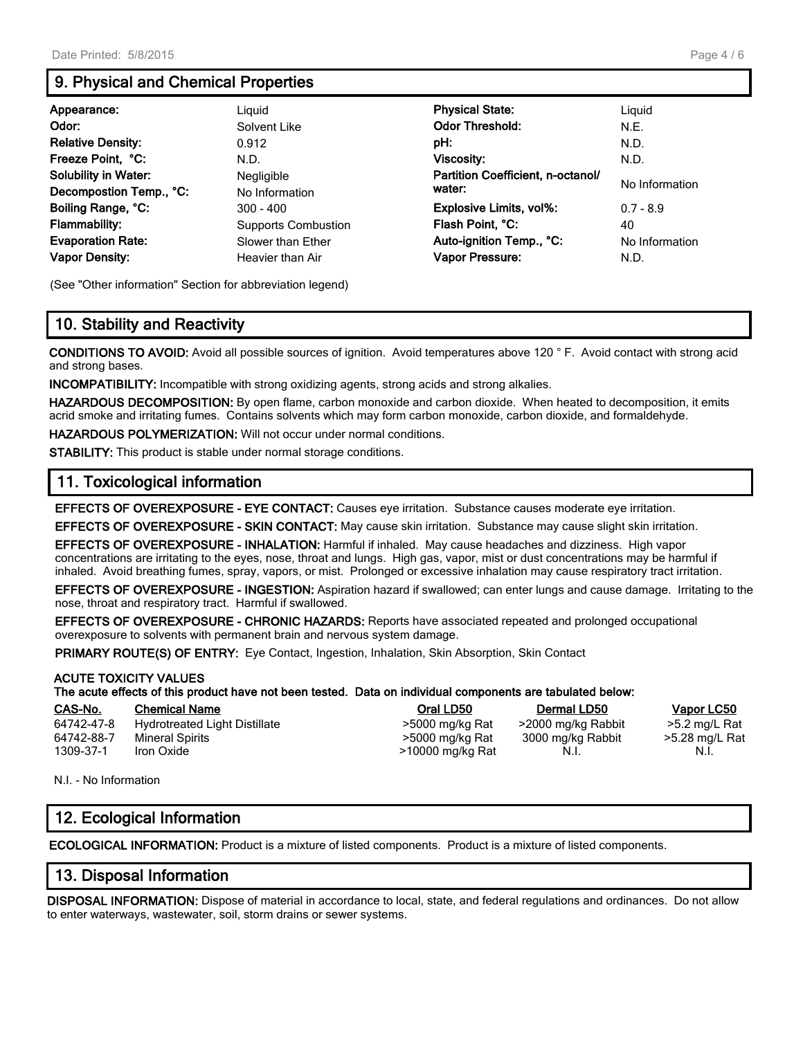## 9. Physical and Chemical Properties

| Appearance:                 | Liauid                     | <b>Physical State:</b>            | Liguid         |
|-----------------------------|----------------------------|-----------------------------------|----------------|
| Odor:                       | Solvent Like               | <b>Odor Threshold:</b>            | N.E.           |
| <b>Relative Density:</b>    | 0.912                      | pH:                               | N.D.           |
| Freeze Point, °C:           | N.D.                       | <b>Viscosity:</b>                 | N.D.           |
| <b>Solubility in Water:</b> | Negligible                 | Partition Coefficient, n-octanol/ | No Information |
| Decompostion Temp., °C:     | No Information             | water:                            |                |
| Boiling Range, °C:          | $300 - 400$                | <b>Explosive Limits, vol%:</b>    | $0.7 - 8.9$    |
| <b>Flammability:</b>        | <b>Supports Combustion</b> | Flash Point, °C:                  | 40             |
| <b>Evaporation Rate:</b>    | Slower than Ether          | Auto-ignition Temp., °C:          | No Information |
| <b>Vapor Density:</b>       | Heavier than Air           | Vapor Pressure:                   | N.D.           |

(See "Other information" Section for abbreviation legend)

## 10. Stability and Reactivity

CONDITIONS TO AVOID: Avoid all possible sources of ignition. Avoid temperatures above 120 ° F. Avoid contact with strong acid and strong bases.

INCOMPATIBILITY: Incompatible with strong oxidizing agents, strong acids and strong alkalies.

HAZARDOUS DECOMPOSITION: By open flame, carbon monoxide and carbon dioxide. When heated to decomposition, it emits acrid smoke and irritating fumes. Contains solvents which may form carbon monoxide, carbon dioxide, and formaldehyde.

HAZARDOUS POLYMERIZATION: Will not occur under normal conditions.

STABILITY: This product is stable under normal storage conditions.

## 11. Toxicological information

EFFECTS OF OVEREXPOSURE - EYE CONTACT: Causes eye irritation. Substance causes moderate eye irritation.

EFFECTS OF OVEREXPOSURE - SKIN CONTACT: May cause skin irritation. Substance may cause slight skin irritation.

EFFECTS OF OVEREXPOSURE - INHALATION: Harmful if inhaled. May cause headaches and dizziness. High vapor concentrations are irritating to the eyes, nose, throat and lungs. High gas, vapor, mist or dust concentrations may be harmful if inhaled. Avoid breathing fumes, spray, vapors, or mist. Prolonged or excessive inhalation may cause respiratory tract irritation.

EFFECTS OF OVEREXPOSURE - INGESTION: Aspiration hazard if swallowed; can enter lungs and cause damage. Irritating to the nose, throat and respiratory tract. Harmful if swallowed.

EFFECTS OF OVEREXPOSURE - CHRONIC HAZARDS: Reports have associated repeated and prolonged occupational overexposure to solvents with permanent brain and nervous system damage.

**PRIMARY ROUTE(S) OF ENTRY:** Eye Contact, Ingestion, Inhalation, Skin Absorption, Skin Contact

#### ACUTE TOXICITY VALUES

#### The acute effects of this product have not been tested. Data on individual components are tabulated below:

#### CAS-No. Chemical Name Oral LD50 Dermal LD50 Vapor LC50

64742-47-8 Hydrotreated Light Distillate >5000 mg/kg Rat >2000 mg/kg Rabbit >5.2 mg/L Rat 64742-88-7 Mineral Spirits because the stat 5000 mg/kg Rat 64742-88-7 Mineral Spirits because the stat 5000 mg/kg Rat 3000 mg/kg Rab 64742-88-7 Mineral Spirits >5000 mg/kg Rat 3000 mg/kg Rabbit >5.28 mg/L Rat

 $13000 \text{ mg/kg}$  Rat N.I. N.I. N.I.

N.I. - No Information

## 12. Ecological Information

ECOLOGICAL INFORMATION: Product is a mixture of listed components. Product is a mixture of listed components.

## 13. Disposal Information

DISPOSAL INFORMATION: Dispose of material in accordance to local, state, and federal regulations and ordinances. Do not allow to enter waterways, wastewater, soil, storm drains or sewer systems.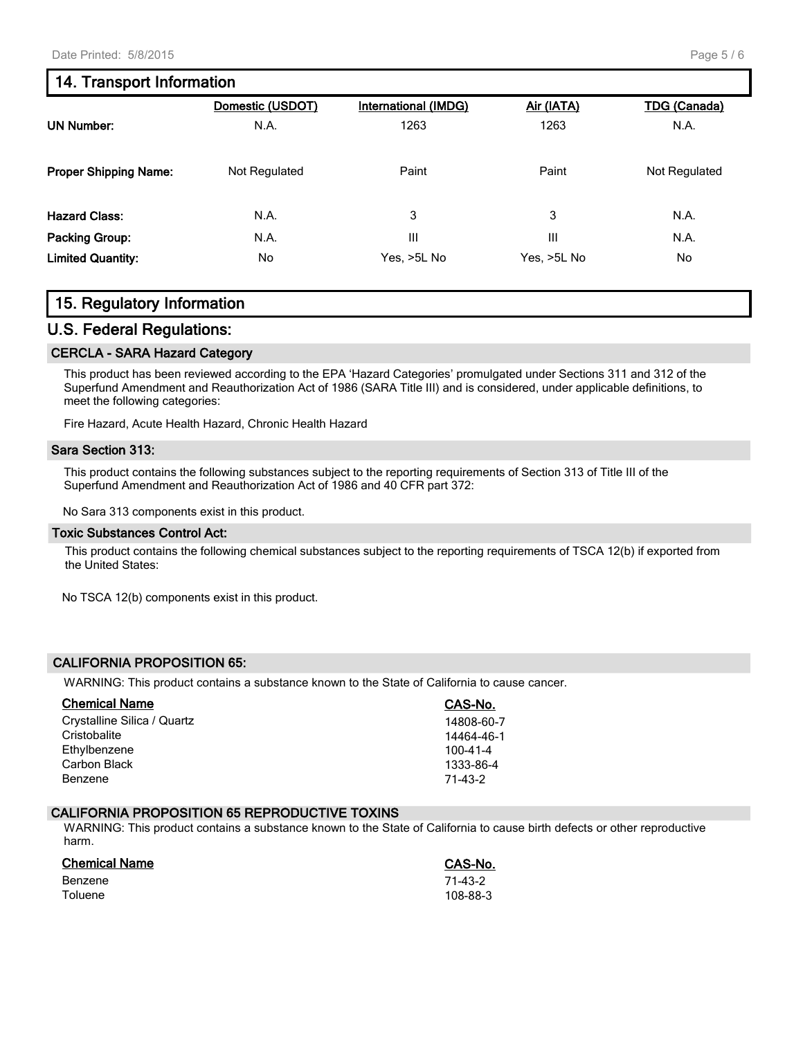## 14. Transport Information

|                              | Domestic (USDOT) | <b>International (IMDG)</b> | Air (IATA)  | <b>TDG (Canada)</b> |
|------------------------------|------------------|-----------------------------|-------------|---------------------|
| <b>UN Number:</b>            | N.A.             | 1263                        | 1263        | N.A.                |
| <b>Proper Shipping Name:</b> | Not Regulated    | Paint                       | Paint       | Not Regulated       |
| <b>Hazard Class:</b>         | N.A.             | 3                           | 3           | N.A.                |
| Packing Group:               | N.A.             | Ш                           | Ш           | N.A.                |
| <b>Limited Quantity:</b>     | No               | Yes, >5L No                 | Yes, >5L No | No                  |

## 15. Regulatory Information

#### U.S. Federal Regulations:

#### CERCLA - SARA Hazard Category

This product has been reviewed according to the EPA 'Hazard Categories' promulgated under Sections 311 and 312 of the Superfund Amendment and Reauthorization Act of 1986 (SARA Title III) and is considered, under applicable definitions, to meet the following categories:

Fire Hazard, Acute Health Hazard, Chronic Health Hazard

#### Sara Section 313:

This product contains the following substances subject to the reporting requirements of Section 313 of Title III of the Superfund Amendment and Reauthorization Act of 1986 and 40 CFR part 372:

No Sara 313 components exist in this product.

#### Toxic Substances Control Act:

This product contains the following chemical substances subject to the reporting requirements of TSCA 12(b) if exported from the United States:

No TSCA 12(b) components exist in this product.

#### CALIFORNIA PROPOSITION 65:

WARNING: This product contains a substance known to the State of California to cause cancer.

| <b>Chemical Name</b>        | CAS-No.        |
|-----------------------------|----------------|
| Crystalline Silica / Quartz | 14808-60-7     |
| Cristobalite                | 14464-46-1     |
| Ethylbenzene                | $100 - 41 - 4$ |
| Carbon Black                | 1333-86-4      |
| Benzene                     | 71-43-2        |

#### CALIFORNIA PROPOSITION 65 REPRODUCTIVE TOXINS

WARNING: This product contains a substance known to the State of California to cause birth defects or other reproductive harm.

| <b>Chemical Name</b> | CAS-No.  |
|----------------------|----------|
| Benzene              | 71-43-2  |
| Toluene              | 108-88-3 |